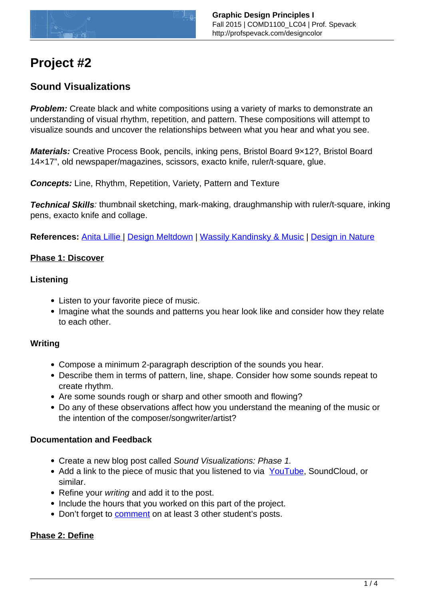

# **Project #2**

## **Sound Visualizations**

**Problem:** Create black and white compositions using a variety of marks to demonstrate an understanding of visual rhythm, repetition, and pattern. These compositions will attempt to visualize sounds and uncover the relationships between what you hear and what you see.

**Materials:** Creative Process Book, pencils, inking pens, Bristol Board 9×12?, Bristol Board 14×17", old newspaper/magazines, scissors, exacto knife, ruler/t-square, glue.

**Concepts:** Line, Rhythm, Repetition, Variety, Pattern and Texture

**Technical Skills**: thumbnail sketching, mark-making, draughmanship with ruler/t-square, inking pens, exacto knife and collage.

**References:** [Anita Lillie |](http://www.flyingpudding.com/projects/viz_music/) [Design Meltdown](http://www.designmeltdown.com/chapters/Repetition/Default.aspx) | [Wassily Kandinsky & Music](http://www.telegraph.co.uk/culture/art/3653012/The-man-who-heard-his-paintbox-hiss.html) | [Design in Nature](http://www.demilked.com/amazing-nature-patterns/)

## **Phase 1: Discover**

## **Listening**

- Listen to your favorite piece of music.
- Imagine what the sounds and patterns you hear look like and consider how they relate to each other.

## **Writing**

- Compose a minimum 2-paragraph description of the sounds you hear.
- Describe them in terms of pattern, line, shape. Consider how some sounds repeat to create rhythm.
- Are some sounds rough or sharp and other smooth and flowing?
- Do any of these observations affect how you understand the meaning of the music or the intention of the composer/songwriter/artist?

## **Documentation and Feedback**

- Create a new blog post called Sound Visualizations: Phase 1.
- Add a link to the piece of music that you listened to via [YouTube,](https://openlab.citytech.cuny.edu/blog/help/adding-video-to-your-site/) SoundCloud, or similar.
- Refine your writing and add it to the post.
- Include the hours that you worked on this part of the project.
- Don't forget to [comment](http://profspevack.com/designcolor/course-documents/design-process-guidelines#comment) on at least 3 other student's posts.

## **Phase 2: Define**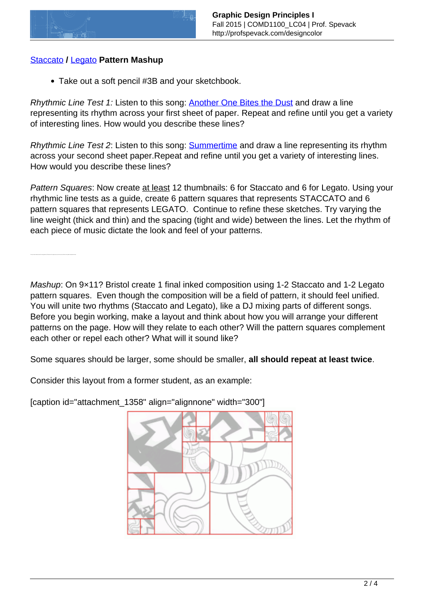

## [Staccato](http://www.merriam-webster.com/dictionary/staccato) **/** [Legato](http://www.thefreedictionary.com/legato) **Pattern Mashup**

Take out a soft pencil #3B and your sketchbook.

Rhythmic Line Test 1: Listen to this song: **Another One Bites the Dust** and draw a line representing its rhythm across your first sheet of paper. Repeat and refine until you get a variety of interesting lines. How would you describe these lines?

Rhythmic Line Test 2: Listen to this song: [Summertime](http://www.youtube.com/watch?v=Vc2Bm5IXGh4) and draw a line representing its rhythm across your second sheet paper.Repeat and refine until you get a variety of interesting lines. How would you describe these lines?

Pattern Squares: Now create at least 12 thumbnails: 6 for Staccato and 6 for Legato. Using your rhythmic line tests as a guide, create 6 pattern squares that represents STACCATO and 6 pattern squares that represents LEGATO. Continue to refine these sketches. Try varying the line weight (thick and thin) and the spacing (tight and wide) between the lines. Let the rhythm of each piece of music dictate the look and feel of your patterns.

Once you have created a total of 6 strong patterns (3 Staccato and 3 Legato) move on to the next step. Refer to class pattern examples for ideas.

Mashup: On 9×11? Bristol create 1 final inked composition using 1-2 Staccato and 1-2 Legato pattern squares. Even though the composition will be a field of pattern, it should feel unified. You will unite two rhythms (Staccato and Legato), like a DJ mixing parts of different songs. Before you begin working, make a layout and think about how you will arrange your different patterns on the page. How will they relate to each other? Will the pattern squares complement each other or repel each other? What will it sound like?

Some squares should be larger, some should be smaller, **all should repeat at least twice**.

Consider this layout from a former student, as an example:

[caption id="attachment\_1358" align="alignnone" width="300"]

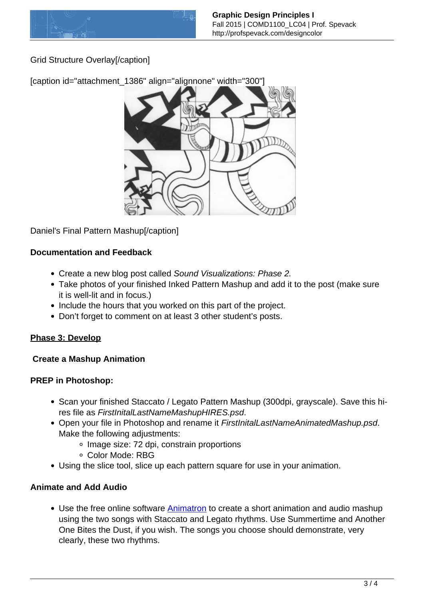

Grid Structure Overlay[/caption]

[caption id="attachment\_1386" align="alignnone" width="300"]



Daniel's Final Pattern Mashup[/caption]

## **Documentation and Feedback**

- Create a new blog post called Sound Visualizations: Phase 2.
- Take photos of your finished Inked Pattern Mashup and add it to the post (make sure it is well-lit and in focus.)
- Include the hours that you worked on this part of the project.
- Don't forget to comment on at least 3 other student's posts.

## **Phase 3: Develop**

## **Create a Mashup Animation**

## **PREP in Photoshop:**

- Scan your finished Staccato / Legato Pattern Mashup (300dpi, grayscale). Save this hires file as FirstInitalLastNameMashupHIRES.psd.
- Open your file in Photoshop and rename it FirstInitalLastNameAnimatedMashup.psd. Make the following adjustments:
	- Image size: 72 dpi, constrain proportions
	- Color Mode: RBG
- Using the slice tool, slice up each pattern square for use in your animation.

## **Animate and Add Audio**

Use the free online software [Animatron](https://editor.animatron.com) to create a short animation and audio mashup using the two songs with Staccato and Legato rhythms. Use Summertime and Another One Bites the Dust, if you wish. The songs you choose should demonstrate, very clearly, these two rhythms.